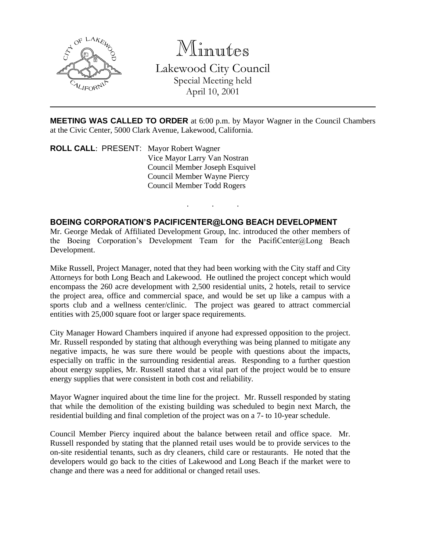

Minutes Lakewood City Council Special Meeting held April 10, 2001

**MEETING WAS CALLED TO ORDER** at 6:00 p.m. by Mayor Wagner in the Council Chambers at the Civic Center, 5000 Clark Avenue, Lakewood, California.

. . .

**ROLL CALL**: PRESENT: Mayor Robert Wagner Vice Mayor Larry Van Nostran Council Member Joseph Esquivel Council Member Wayne Piercy Council Member Todd Rogers

## **BOEING CORPORATION'S PACIFICENTER@LONG BEACH DEVELOPMENT**

Mr. George Medak of Affiliated Development Group, Inc. introduced the other members of the Boeing Corporation's Development Team for the PacifiCenter@Long Beach Development.

Mike Russell, Project Manager, noted that they had been working with the City staff and City Attorneys for both Long Beach and Lakewood. He outlined the project concept which would encompass the 260 acre development with 2,500 residential units, 2 hotels, retail to service the project area, office and commercial space, and would be set up like a campus with a sports club and a wellness center/clinic. The project was geared to attract commercial entities with 25,000 square foot or larger space requirements.

City Manager Howard Chambers inquired if anyone had expressed opposition to the project. Mr. Russell responded by stating that although everything was being planned to mitigate any negative impacts, he was sure there would be people with questions about the impacts, especially on traffic in the surrounding residential areas. Responding to a further question about energy supplies, Mr. Russell stated that a vital part of the project would be to ensure energy supplies that were consistent in both cost and reliability.

Mayor Wagner inquired about the time line for the project. Mr. Russell responded by stating that while the demolition of the existing building was scheduled to begin next March, the residential building and final completion of the project was on a 7- to 10-year schedule.

Council Member Piercy inquired about the balance between retail and office space. Mr. Russell responded by stating that the planned retail uses would be to provide services to the on-site residential tenants, such as dry cleaners, child care or restaurants. He noted that the developers would go back to the cities of Lakewood and Long Beach if the market were to change and there was a need for additional or changed retail uses.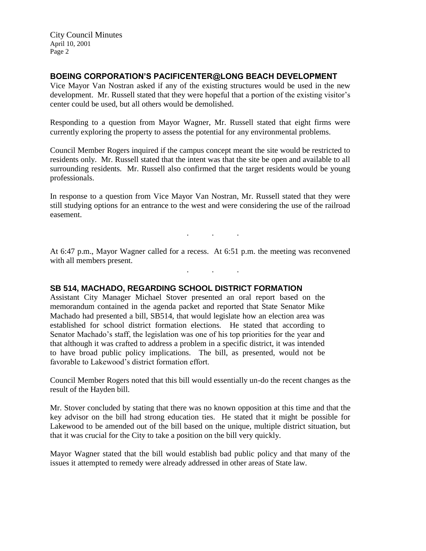City Council Minutes April 10, 2001 Page 2

## **BOEING CORPORATION'S PACIFICENTER@LONG BEACH DEVELOPMENT**

Vice Mayor Van Nostran asked if any of the existing structures would be used in the new development. Mr. Russell stated that they were hopeful that a portion of the existing visitor's center could be used, but all others would be demolished.

Responding to a question from Mayor Wagner, Mr. Russell stated that eight firms were currently exploring the property to assess the potential for any environmental problems.

Council Member Rogers inquired if the campus concept meant the site would be restricted to residents only. Mr. Russell stated that the intent was that the site be open and available to all surrounding residents. Mr. Russell also confirmed that the target residents would be young professionals.

In response to a question from Vice Mayor Van Nostran, Mr. Russell stated that they were still studying options for an entrance to the west and were considering the use of the railroad easement.

At 6:47 p.m., Mayor Wagner called for a recess. At 6:51 p.m. the meeting was reconvened with all members present.

. . .

. . .

## **SB 514, MACHADO, REGARDING SCHOOL DISTRICT FORMATION**

Assistant City Manager Michael Stover presented an oral report based on the memorandum contained in the agenda packet and reported that State Senator Mike Machado had presented a bill, SB514, that would legislate how an election area was established for school district formation elections. He stated that according to Senator Machado's staff, the legislation was one of his top priorities for the year and that although it was crafted to address a problem in a specific district, it was intended to have broad public policy implications. The bill, as presented, would not be favorable to Lakewood's district formation effort.

Council Member Rogers noted that this bill would essentially un-do the recent changes as the result of the Hayden bill.

Mr. Stover concluded by stating that there was no known opposition at this time and that the key advisor on the bill had strong education ties. He stated that it might be possible for Lakewood to be amended out of the bill based on the unique, multiple district situation, but that it was crucial for the City to take a position on the bill very quickly.

Mayor Wagner stated that the bill would establish bad public policy and that many of the issues it attempted to remedy were already addressed in other areas of State law.